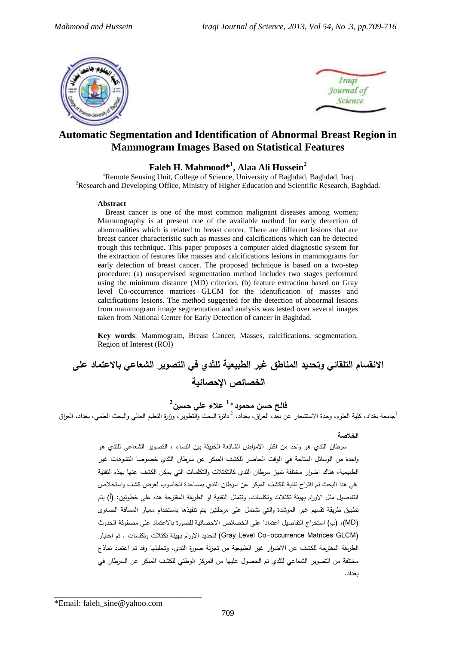



# **Automatic Segmentation and Identification of Abnormal Breast Region in Mammogram Images Based on Statistical Features**

# **Faleh H. Mahmood\* 1 , Alaa Ali Hussein<sup>2</sup>**

<sup>1</sup>Remote Sensing Unit, College of Science, University of Baghdad, Baghdad, Iraq <sup>2</sup>Research and Developing Office, Ministry of Higher Education and Scientific Research, Baghdad.

#### **Abstract**

 Breast cancer is one of the most common malignant diseases among women; Mammography is at present one of the available method for early detection of abnormalities which is related to breast cancer. There are different lesions that are breast cancer characteristic such as masses and calcifications which can be detected trough this technique. This paper proposes a computer aided diagnostic system for the extraction of features like masses and calcifications lesions in mammograms for early detection of breast cancer. The proposed technique is based on a two-step procedure: (a) unsupervised segmentation method includes two stages performed using the minimum distance (MD) criterion, (b) feature extraction based on Gray level Co-occurrence matrices GLCM for the identification of masses and calcifications lesions. The method suggested for the detection of abnormal lesions from mammogram image segmentation and analysis was tested over several images taken from National Center for Early Detection of cancer in Baghdad.

**Key words**: Mammogram, Breast Cancer, Masses, calcifications, segmentation, Region of Interest (ROI)

الانقسام التلقائ*ي* وتحديد المناطق غير الطبيعية للثدي في التصوير الشعاعي بالاعتماد على الخصائص الإحصائية

# **1 فالحاحسنامحمود\* 2 عالءاعلياحسين**

<sup>1</sup>جامعة بغداد، كلية العلوم، وحدة الاستشعار عن بعد، العراق، بغداد، <sup>2</sup>دائرة البحث والتطوير ، وزارة التعليم العالمي والبحث العلمي، بغداد، العراق

#### **الخالصة**

سرطان الثدي هو واحد من اكثر االمراض الشائعة الخبيثة بين النساء ، التصوير الشعاعي للثدي هو واحدة من الوسائل المتاحة في الوقت الحاضر للكشف المبكر عن سرطان الثدي خصوصا التشوهات غير الطبيعية، هناك اضرار مختلفة تميز سرطان الثدي كالتكتالت والتكلسات التي يمكن الكشف عنها بهذه التقنية .في هذا البحث تم اقتراح تقنية للكشف المبكر عن سرطان الثدي بمساعدة الحاسوب لغرض كشف واستخالص التفاصيل مثل االورام بهيئة تكتالت وتكلسات. وتتمثل التقنية او الطريقة المقترحة هذه على خطوتين: )أ( يتم تطبيق طريقة تقسيم غير المرشدة والتي تشتمل على مرحلتين يتم تنفيذها باستخدام معيار المسافة الصغرى )MD)،( ب( استخراج التفاصيل اعتمادا على الخصائص االحصائية للصورة باالعتماد على مصفوفة الحدوث )GLCM Matrices occurrence-Co Level Gray )لتحديد االورام بهيئة تكتالت وتكلسات . تم اختبار الطر يقة المقترحة للكشف عن االضرار غير الطبيعية من تجزئة صورة الثدي، وتحليلها وقد تم اعتماد نماذج مختلفة من التصوير الشعاعي للثدي تم الحصول عليها من المركز الوطني للكشف المبكر عن السرطان في بغداد.

\_\_\_\_\_\_\_\_\_\_\_\_\_\_\_\_\_\_\_\_\_\_\_\_\_\_\_\_\_\_\_\_\_\_\_

<sup>\*</sup>Email: [faleh\\_sine@yahoo.com](mailto:faleh_sine@yahoo.com)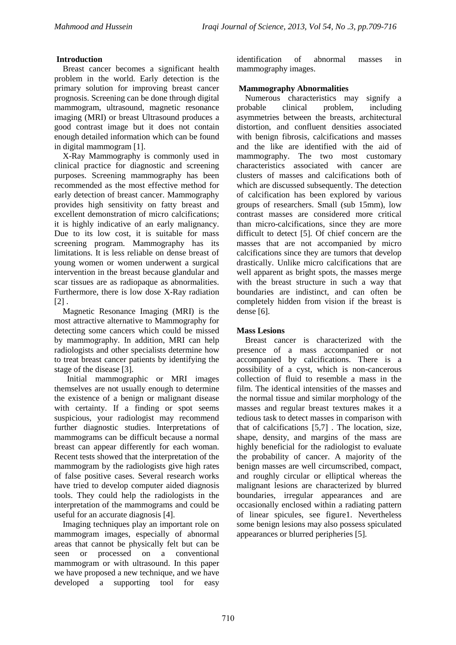### **Introduction**

 Breast cancer becomes a significant health problem in the world. Early detection is the primary solution for improving breast cancer prognosis. Screening can be done through digital mammogram, ultrasound, magnetic resonance imaging (MRI) or breast Ultrasound produces a good contrast image but it does not contain enough detailed information which can be found in digital mammogram [1].

 X-Ray Mammography is commonly used in clinical practice for diagnostic and screening purposes. Screening mammography has been recommended as the most effective method for early detection of breast cancer. Mammography provides high sensitivity on fatty breast and excellent demonstration of micro calcifications; it is highly indicative of an early malignancy. Due to its low cost, it is suitable for mass screening program. Mammography has its limitations. It is less reliable on dense breast of young women or women underwent a surgical intervention in the breast because glandular and scar tissues are as radiopaque as abnormalities. Furthermore, there is low dose X-Ray radiation  $\lceil 2 \rceil$ .

 Magnetic Resonance Imaging (MRI) is the most attractive alternative to Mammography for detecting some cancers which could be missed by mammography. In addition, MRI can help radiologists and other specialists determine how to treat breast cancer patients by identifying the stage of the disease [3].

 Initial mammographic or MRI images themselves are not usually enough to determine the existence of a benign or malignant disease with certainty. If a finding or spot seems suspicious, your radiologist may recommend further diagnostic studies. Interpretations of mammograms can be difficult because a normal breast can appear differently for each woman. Recent tests showed that the interpretation of the mammogram by the radiologists give high rates of false positive cases. Several research works have tried to develop computer aided diagnosis tools. They could help the radiologists in the interpretation of the mammograms and could be useful for an accurate diagnosis [4].

 Imaging techniques play an important role on mammogram images, especially of abnormal areas that cannot be physically felt but can be seen or processed on a conventional mammogram or with ultrasound. In this paper we have proposed a new technique, and we have developed a supporting tool for easy identification of abnormal masses in mammography images.

#### **Mammography Abnormalities**

 Numerous characteristics may signify a probable clinical problem, including asymmetries between the breasts, architectural distortion, and confluent densities associated with benign fibrosis, calcifications and masses and the like are identified with the aid of mammography. The two most customary characteristics associated with cancer are clusters of masses and calcifications both of which are discussed subsequently. The detection of calcification has been explored by various groups of researchers. Small (sub 15mm), low contrast masses are considered more critical than micro-calcifications, since they are more difficult to detect [5]. Of chief concern are the masses that are not accompanied by micro calcifications since they are tumors that develop drastically. Unlike micro calcifications that are well apparent as bright spots, the masses merge with the breast structure in such a way that boundaries are indistinct, and can often be completely hidden from vision if the breast is dense [6].

### **Mass Lesions**

 Breast cancer is characterized with the presence of a mass accompanied or not accompanied by calcifications. There is a possibility of a cyst, which is non-cancerous collection of fluid to resemble a mass in the film. The identical intensities of the masses and the normal tissue and similar morphology of the masses and regular breast textures makes it a tedious task to detect masses in comparison with that of calcifications [5,7] . The location, size, shape, density, and margins of the mass are highly beneficial for the radiologist to evaluate the probability of cancer. A majority of the benign masses are well circumscribed, compact, and roughly circular or elliptical whereas the malignant lesions are characterized by blurred boundaries, irregular appearances and are occasionally enclosed within a radiating pattern of linear spicules, see figure1. Nevertheless some benign lesions may also possess spiculated appearances or blurred peripheries [5].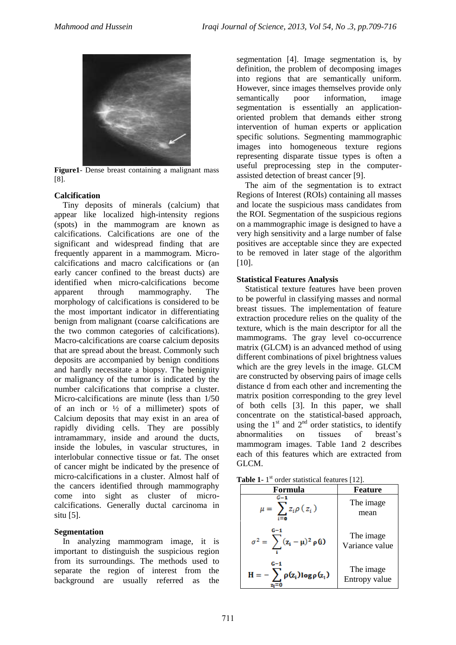

**Figure1**- Dense breast containing a malignant mass [8].

#### **Calcification**

 Tiny deposits of minerals (calcium) that appear like localized high-intensity regions (spots) in the mammogram are known as calcifications. Calcifications are one of the significant and widespread finding that are frequently apparent in a mammogram. Microcalcifications and macro calcifications or (an early cancer confined to the breast ducts) are identified when micro-calcifications become apparent through mammography. The morphology of calcifications is considered to be the most important indicator in differentiating benign from malignant (coarse calcifications are the two common categories of calcifications). Macro-calcifications are coarse calcium deposits that are spread about the breast. Commonly such deposits are accompanied by benign conditions and hardly necessitate a biopsy. The benignity or malignancy of the tumor is indicated by the number calcifications that comprise a cluster. Micro-calcifications are minute (less than 1/50 of an inch or  $\frac{1}{2}$  of a millimeter) spots of Calcium deposits that may exist in an area of rapidly dividing cells. They are possibly intramammary, inside and around the ducts, inside the lobules, in vascular structures, in interlobular connective tissue or fat. The onset of cancer might be indicated by the presence of micro-calcifications in a cluster. Almost half of the cancers identified through mammography come into sight as cluster of microcalcifications. Generally ductal carcinoma in situ [5].

#### **Segmentation**

 In analyzing mammogram image, it is important to distinguish the suspicious region from its surroundings. The methods used to separate the region of interest from the background are usually referred as the

segmentation [4]. Image segmentation is, by definition, the problem of decomposing images into regions that are semantically uniform. However, since images themselves provide only semantically poor information, image segmentation is essentially an applicationoriented problem that demands either strong intervention of human experts or application specific solutions. Segmenting mammographic images into homogeneous texture regions representing disparate tissue types is often a useful preprocessing step in the computerassisted detection of breast cancer [9].

 The aim of the segmentation is to extract Regions of Interest (ROIs) containing all masses and locate the suspicious mass candidates from the ROI. Segmentation of the suspicious regions on a mammographic image is designed to have a very high sensitivity and a large number of false positives are acceptable since they are expected to be removed in later stage of the algorithm [10].

#### **Statistical Features Analysis**

 Statistical texture features have been proven to be powerful in classifying masses and normal breast tissues. The implementation of feature extraction procedure relies on the quality of the texture, which is the main descriptor for all the mammograms. The gray level co-occurrence matrix (GLCM) is an advanced method of using different combinations of pixel brightness values which are the grey levels in the image. GLCM are constructed by observing pairs of image cells distance d from each other and incrementing the matrix position corresponding to the grey level of both cells [3]. In this paper, we shall concentrate on the statistical-based approach, using the  $1<sup>st</sup>$  and  $2<sup>nd</sup>$  order statistics, to identify abnormalities on tissues of breast's mammogram images. Table 1and 2 describes each of this features which are extracted from GLCM.

|--|

| Formula                                                   | <b>Feature</b>    |
|-----------------------------------------------------------|-------------------|
| $G-1$<br>$\mu = \sum z_i \rho(z_i)$<br>i=0                | The image<br>mean |
| $G-1$                                                     | The image         |
| $\sigma^2 = \sum (\mathbf{z_i} - \mu)^2 \rho(\mathbf{i})$ | Variance value    |
| G-1                                                       | The image         |
| $H = -\sum_{i} \rho(z_i) \log \rho(z_i)$                  | Entropy value     |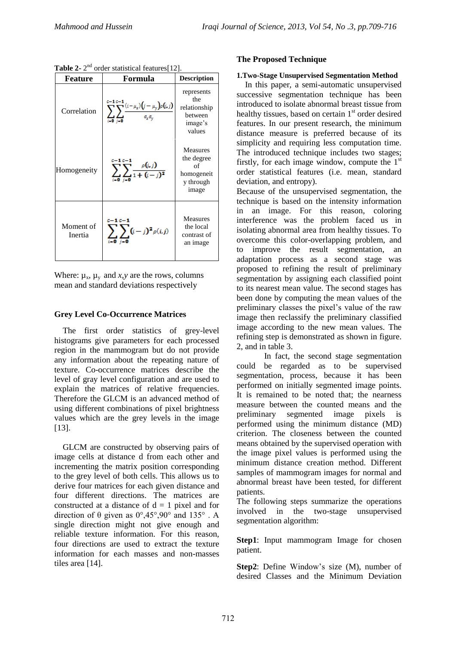Table 2- 2<sup>nd</sup> order statistical features[12].

| Feature              | Formula                                                                                    | <b>Description</b>                                                      |
|----------------------|--------------------------------------------------------------------------------------------|-------------------------------------------------------------------------|
| Correlation          | $\sum_{i=0}^{n-1} \frac{(i-\mu_x)\left(j-\mu_y\right)\rho(i,j)}{\sigma_x \sigma_y}$<br>. ( | represents<br>the<br>relationship<br>between<br>image's<br>values       |
| Homogeneity          | c-1c-1<br>$\sum_{i=0} \sum_{j=0} \frac{\rho(i,j)}{1+(i-j)^2}$                              | <b>Measures</b><br>the degree<br>of<br>homogeneit<br>y through<br>image |
| Moment of<br>Inertia | c-1c-1<br>$\sum (i-j)^2 \rho(i,j)$                                                         | <b>Measures</b><br>the local<br>contrast of<br>an image                 |

Where:  $\mu_x$ ,  $\mu_y$  and *x*, *y* are the rows, columns mean and standard deviations respectively

### **Grey Level Co-Occurrence Matrices**

 The first order statistics of grey-level histograms give parameters for each processed region in the mammogram but do not provide any information about the repeating nature of texture. Co-occurrence matrices describe the level of gray level configuration and are used to explain the matrices of relative frequencies. Therefore the GLCM is an advanced method of using different combinations of pixel brightness values which are the grey levels in the image [13].

 GLCM are constructed by observing pairs of image cells at distance d from each other and incrementing the matrix position corresponding to the grey level of both cells. This allows us to derive four matrices for each given distance and four different directions. The matrices are constructed at a distance of  $d = 1$  pixel and for direction of  $\theta$  given as  $0^{\circ},45^{\circ},90^{\circ}$  and  $135^{\circ}$ . A single direction might not give enough and reliable texture information. For this reason, four directions are used to extract the texture information for each masses and non-masses tiles area [14].

## **The Proposed Technique**

#### **1.Two-Stage Unsupervised Segmentation Method**

 In this paper, a semi-automatic unsupervised successive segmentation technique has been introduced to isolate abnormal breast tissue from healthy tissues, based on certain  $1<sup>st</sup>$  order desired features. In our present research, the minimum distance measure is preferred because of its simplicity and requiring less computation time. The introduced technique includes two stages; firstly, for each image window, compute the  $1<sup>st</sup>$ order statistical features (i.e. mean, standard deviation, and entropy).

Because of the unsupervised segmentation, the technique is based on the intensity information in an image. For this reason, coloring interference was the problem faced us in isolating abnormal area from healthy tissues. To overcome this color-overlapping problem, and to improve the result segmentation, an adaptation process as a second stage was proposed to refining the result of preliminary segmentation by assigning each classified point to its nearest mean value. The second stages has been done by computing the mean values of the preliminary classes the pixel's value of the raw image then reclassify the preliminary classified image according to the new mean values. The refining step is demonstrated as shown in figure. 2, and in table 3.

In fact, the second stage segmentation could be regarded as to be supervised segmentation, process, because it has been performed on initially segmented image points. It is remained to be noted that; the nearness measure between the counted means and the preliminary segmented image pixels is performed using the minimum distance (MD) criterion. The closeness between the counted means obtained by the supervised operation with the image pixel values is performed using the minimum distance creation method. Different samples of mammogram images for normal and abnormal breast have been tested, for different patients.

The following steps summarize the operations involved in the two-stage unsupervised segmentation algorithm:

**Step1**: Input mammogram Image for chosen patient.

**Step2**: Define Window's size (M), number of desired Classes and the Minimum Deviation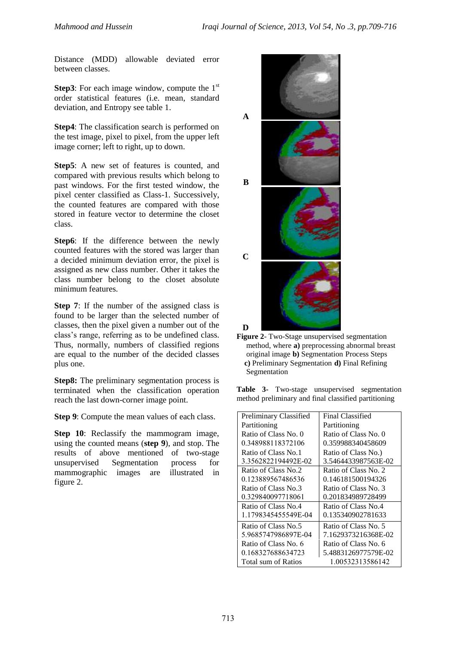Distance (MDD) allowable deviated error between classes.

**Step3**: For each image window, compute the  $1<sup>st</sup>$ order statistical features (i.e. mean, standard deviation, and Entropy see table 1.

**Step4**: The classification search is performed on the test image, pixel to pixel, from the upper left image corner; left to right, up to down.

**Step5**: A new set of features is counted, and compared with previous results which belong to past windows. For the first tested window, the pixel center classified as Class-1. Successively, the counted features are compared with those stored in feature vector to determine the closet class.

**Step6**: If the difference between the newly counted features with the stored was larger than a decided minimum deviation error, the pixel is assigned as new class number. Other it takes the class number belong to the closet absolute minimum features.

**Step 7:** If the number of the assigned class is found to be larger than the selected number of classes, then the pixel given a number out of the class's range, referring as to be undefined class. Thus, normally, numbers of classified regions are equal to the number of the decided classes plus one.

**Step8:** The preliminary segmentation process is terminated when the classification operation reach the last down-corner image point.

**Step 9**: Compute the mean values of each class.

**Step 10**: Reclassify the mammogram image, using the counted means (**step 9**), and stop. The results of above mentioned of two-stage unsupervised Segmentation process for mammographic images are illustrated in figure 2.



**Figure 2**- Two-Stage unsupervised segmentation method, where **a)** preprocessing abnormal breast original image **b)** Segmentation Process Steps **c)** Preliminary Segmentation **d)** Final Refining Segmentation

**Table 3-** Two-stage unsupervised segmentation method preliminary and final classified partitioning

| Preliminary Classified | Final Classified     |
|------------------------|----------------------|
| Partitioning           | Partitioning         |
| Ratio of Class No. 0   | Ratio of Class No. 0 |
| 0.348988118372106      | 0.359988340458609    |
| Ratio of Class No.1    | Ratio of Class No.)  |
| 3.3562822194492E-02    | 3.5464433987563E-02  |
| Ratio of Class No.2    | Ratio of Class No. 2 |
| 0.123889567486536      | 0.146181500194326    |
| Ratio of Class No.3    | Ratio of Class No. 3 |
| 0.329840097718061      | 0.201834989728499    |
| Ratio of Class No. 4   | Ratio of Class No.4  |
| 1.1798345455549E-04    | 0.135340902781633    |
| Ratio of Class No.5    | Ratio of Class No. 5 |
| 5.9685747986897E-04    | 7.1629373216368E-02  |
| Ratio of Class No. 6   | Ratio of Class No. 6 |
| 0.168327688634723      | 5.4883126977579E-02  |
| Total sum of Ratios    | 1.00532313586142     |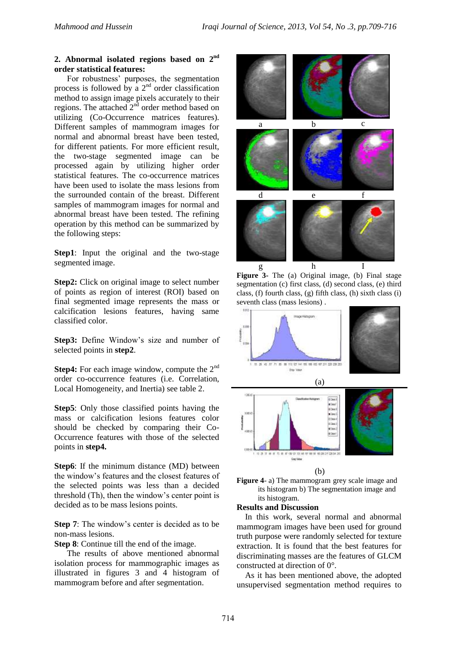#### **2. Abnormal isolated regions based on 2nd order statistical features:**

 For robustness' purposes, the segmentation process is followed by a  $2<sup>nd</sup>$  order classification method to assign image pixels accurately to their regions. The attached  $2<sup>n</sup>$  order method based on utilizing (Co-Occurrence matrices features). Different samples of mammogram images for normal and abnormal breast have been tested, for different patients. For more efficient result, the two-stage segmented image can be processed again by utilizing higher order statistical features. The co-occurrence matrices have been used to isolate the mass lesions from the surrounded contain of the breast. Different samples of mammogram images for normal and abnormal breast have been tested. The refining operation by this method can be summarized by the following steps:

**Step1**: Input the original and the two-stage segmented image.

**Step2:** Click on original image to select number of points as region of interest (ROI) based on final segmented image represents the mass or calcification lesions features, having same classified color.

**Step3:** Define Window's size and number of selected points in **step2**.

**Step4:** For each image window, compute the 2<sup>nd</sup> order co-occurrence features (i.e. Correlation, Local Homogeneity, and Inertia) see table 2.

**Step5**: Only those classified points having the mass or calcification lesions features color should be checked by comparing their Co-Occurrence features with those of the selected points in **step4.**

**Step6**: If the minimum distance (MD) between the window's features and the closest features of the selected points was less than a decided threshold (Th), then the window's center point is decided as to be mass lesions points.

**Step 7**: The window's center is decided as to be non-mass lesions.

**Step 8**: Continue till the end of the image.

 The results of above mentioned abnormal isolation process for mammographic images as illustrated in figures 3 and 4 histogram of mammogram before and after segmentation.



**Figure 3-** The (a) Original image, (b) Final stage segmentation (c) first class, (d) second class, (e) third class, (f) fourth class, (g) fifth class, (h) sixth class (i) seventh class (mass lesions) .



**Figure 4**- a) The mammogram grey scale image and its histogram b) The segmentation image and its histogram.

#### **Results and Discussion**

 In this work, several normal and abnormal mammogram images have been used for ground truth purpose were randomly selected for texture extraction. It is found that the best features for discriminating masses are the features of GLCM constructed at direction of 0°.

 As it has been mentioned above, the adopted unsupervised segmentation method requires to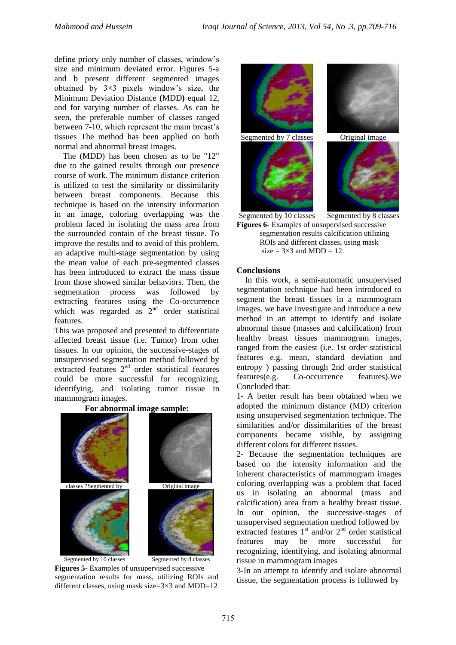define priory only number of classes, window's size and minimum deviated error. Figures 5-a and b present different segmented images obtained by 3×3 pixels window's size, the Minimum Deviation Distance **(**MDD**)** equal 12, and for varying number of classes. As can be seen, the preferable number of classes ranged between 7-10, which represent the main breast's tissues The method has been applied on both normal and abnormal breast images.

 The (MDD) has been chosen as to be "12" due to the gained results through our presence course of work. The minimum distance criterion is utilized to test the similarity or dissimilarity between breast components. Because this technique is based on the intensity information in an image, coloring overlapping was the problem faced in isolating the mass area from the surrounded contain of the breast tissue. To improve the results and to avoid of this problem, an adaptive multi-stage segmentation by using the mean value of each pre-segmented classes has been introduced to extract the mass tissue from those showed similar behaviors. Then, the segmentation process was followed by extracting features using the Co-occurrence which was regarded as  $2<sup>nd</sup>$  order statistical features.

This was proposed and presented to differentiate affected breast tissue (i.e. Tumor) from other tissues. In our opinion, the successive-stages of unsupervised segmentation method followed by extracted features  $2<sup>nd</sup>$  order statistical features could be more successful for recognizing, identifying, and isolating tumor tissue in mammogram images.



**For abnormal image sample:**

Segmented by 10 classes Segmented by 8 classes

**Figures 5-** Examples of unsupervised successive segmentation results for mass, utilizing ROIs and different classes, using mask size= $3\times3$  and MDD=12



Segmented by 10 classes Segmented by 8 classes **Figures 6-** Examples of unsupervised successive segmentation results calcification utilizing ROIs and different classes, using mask size =  $3\times3$  and MDD = 12.

#### **Conclusions**

 In this work, a semi-automatic unsupervised segmentation technique had been introduced to segment the breast tissues in a mammogram images. we have investigate and introduce a new method in an attempt to identify and isolate abnormal tissue (masses and calcification) from healthy breast tissues mammogram images, ranged from the easiest (i.e. 1st order statistical features e.g. mean, standard deviation and entropy ) passing through 2nd order statistical features(e.g. Co-occurrence features).We Concluded that:

1- A better result has been obtained when we adopted the minimum distance (MD) criterion using unsupervised segmentation technique. The similarities and/or dissimilarities of the breast components became visible, by assigning different colors for different tissues.

2- Because the segmentation techniques are based on the intensity information and the inherent characteristics of mammogram images coloring overlapping was a problem that faced us in isolating an abnormal (mass and calcification) area from a healthy breast tissue. In our opinion, the successive-stages of unsupervised segmentation method followed by extracted features  $1<sup>st</sup>$  and/or  $2<sup>nd</sup>$  order statistical features may be more successful for recognizing, identifying, and isolating abnormal tissue in mammogram images

3-In an attempt to identify and isolate abnormal tissue, the segmentation process is followed by